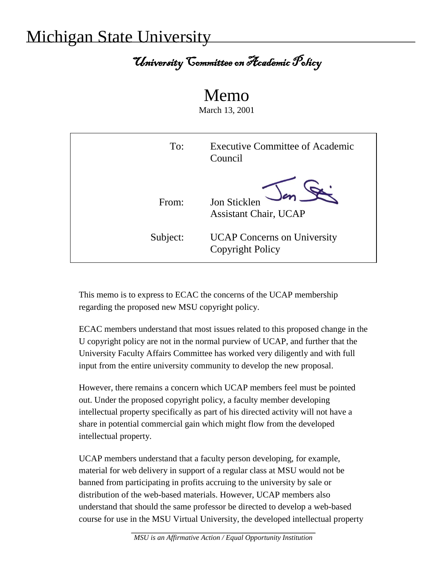## Michigan State University

## University Committee on Academic Policy

## Memo

March 13, 2001

| To:      | Executive Committee of Academic<br>Council                    |
|----------|---------------------------------------------------------------|
| From:    | Jon Sticklen<br><b>Assistant Chair, UCAP</b>                  |
| Subject: | <b>UCAP Concerns on University</b><br><b>Copyright Policy</b> |

This memo is to express to ECAC the concerns of the UCAP membership regarding the proposed new MSU copyright policy.

ECAC members understand that most issues related to this proposed change in the U copyright policy are not in the normal purview of UCAP, and further that the University Faculty Affairs Committee has worked very diligently and with full input from the entire university community to develop the new proposal.

However, there remains a concern which UCAP members feel must be pointed out. Under the proposed copyright policy, a faculty member developing intellectual property specifically as part of his directed activity will not have a share in potential commercial gain which might flow from the developed intellectual property.

UCAP members understand that a faculty person developing, for example, material for web delivery in support of a regular class at MSU would not be banned from participating in profits accruing to the university by sale or distribution of the web-based materials. However, UCAP members also understand that should the same professor be directed to develop a web-based course for use in the MSU Virtual University, the developed intellectual property